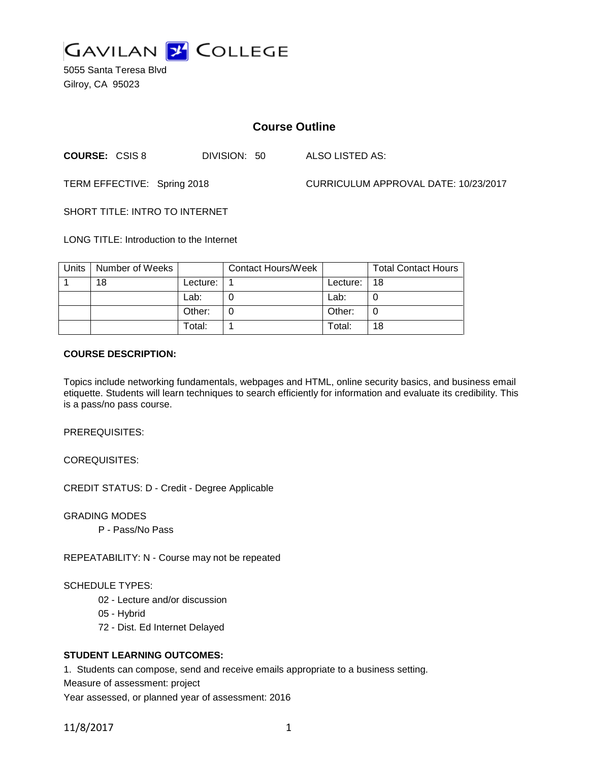

5055 Santa Teresa Blvd Gilroy, CA 95023

# **Course Outline**

**COURSE:** CSIS 8 DIVISION: 50 ALSO LISTED AS:

TERM EFFECTIVE: Spring 2018 CURRICULUM APPROVAL DATE: 10/23/2017

SHORT TITLE: INTRO TO INTERNET

LONG TITLE: Introduction to the Internet

| Units | Number of Weeks |            | <b>Contact Hours/Week</b> |          | <b>Total Contact Hours</b> |
|-------|-----------------|------------|---------------------------|----------|----------------------------|
|       | 18              | Lecture: . |                           | Lecture: | 18                         |
|       |                 | Lab:       |                           | Lab:     |                            |
|       |                 | Other:     |                           | Other:   | 0                          |
|       |                 | Total:     |                           | Total:   | 18                         |

#### **COURSE DESCRIPTION:**

Topics include networking fundamentals, webpages and HTML, online security basics, and business email etiquette. Students will learn techniques to search efficiently for information and evaluate its credibility. This is a pass/no pass course.

PREREQUISITES:

COREQUISITES:

CREDIT STATUS: D - Credit - Degree Applicable

GRADING MODES

P - Pass/No Pass

REPEATABILITY: N - Course may not be repeated

#### SCHEDULE TYPES:

- 02 Lecture and/or discussion
- 05 Hybrid
- 72 Dist. Ed Internet Delayed

### **STUDENT LEARNING OUTCOMES:**

1. Students can compose, send and receive emails appropriate to a business setting.

Measure of assessment: project

Year assessed, or planned year of assessment: 2016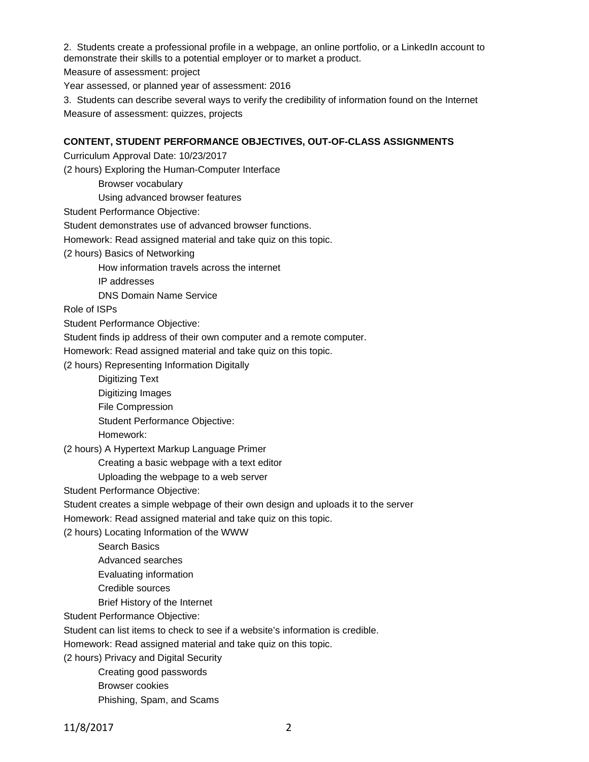2. Students create a professional profile in a webpage, an online portfolio, or a LinkedIn account to demonstrate their skills to a potential employer or to market a product.

Measure of assessment: project

Year assessed, or planned year of assessment: 2016

3. Students can describe several ways to verify the credibility of information found on the Internet Measure of assessment: quizzes, projects

#### **CONTENT, STUDENT PERFORMANCE OBJECTIVES, OUT-OF-CLASS ASSIGNMENTS**

Curriculum Approval Date: 10/23/2017

(2 hours) Exploring the Human-Computer Interface

Browser vocabulary

Using advanced browser features

Student Performance Objective:

Student demonstrates use of advanced browser functions.

Homework: Read assigned material and take quiz on this topic.

(2 hours) Basics of Networking

How information travels across the internet

IP addresses

DNS Domain Name Service

Role of ISPs

Student Performance Objective:

Student finds ip address of their own computer and a remote computer.

Homework: Read assigned material and take quiz on this topic.

(2 hours) Representing Information Digitally

Digitizing Text

- Digitizing Images
- File Compression

Student Performance Objective:

Homework:

(2 hours) A Hypertext Markup Language Primer

Creating a basic webpage with a text editor

Uploading the webpage to a web server

Student Performance Objective:

Student creates a simple webpage of their own design and uploads it to the server

Homework: Read assigned material and take quiz on this topic.

(2 hours) Locating Information of the WWW

- Search Basics
- Advanced searches
- Evaluating information
- Credible sources
- Brief History of the Internet

Student Performance Objective:

Student can list items to check to see if a website's information is credible.

Homework: Read assigned material and take quiz on this topic.

(2 hours) Privacy and Digital Security

- Creating good passwords
- Browser cookies

Phishing, Spam, and Scams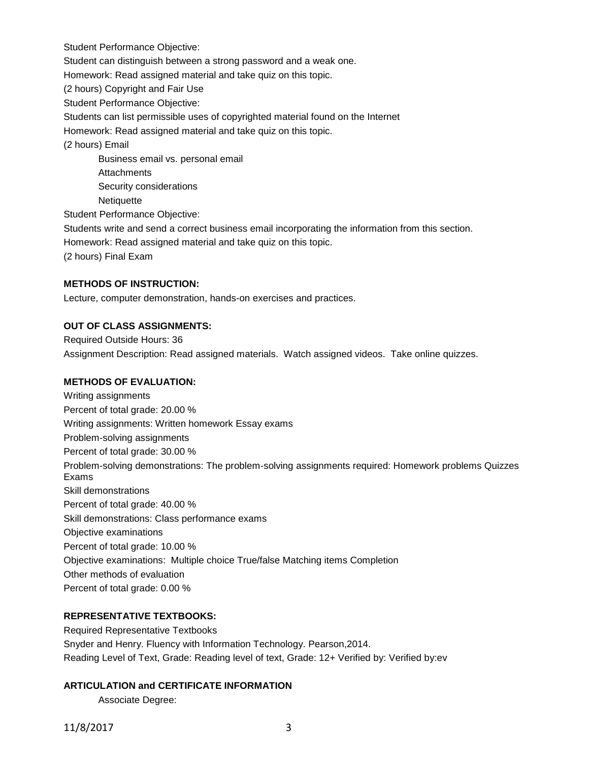Student Performance Objective:

Student can distinguish between a strong password and a weak one.

Homework: Read assigned material and take quiz on this topic.

(2 hours) Copyright and Fair Use

Student Performance Objective:

Students can list permissible uses of copyrighted material found on the Internet

Homework: Read assigned material and take quiz on this topic.

(2 hours) Email

Business email vs. personal email **Attachments** Security considerations **Netiquette** 

Student Performance Objective:

Students write and send a correct business email incorporating the information from this section.

Homework: Read assigned material and take quiz on this topic.

(2 hours) Final Exam

#### **METHODS OF INSTRUCTION:**

Lecture, computer demonstration, hands-on exercises and practices.

#### **OUT OF CLASS ASSIGNMENTS:**

Required Outside Hours: 36 Assignment Description: Read assigned materials. Watch assigned videos. Take online quizzes.

#### **METHODS OF EVALUATION:**

Writing assignments Percent of total grade: 20.00 % Writing assignments: Written homework Essay exams Problem-solving assignments Percent of total grade: 30.00 % Problem-solving demonstrations: The problem-solving assignments required: Homework problems Quizzes Exams Skill demonstrations Percent of total grade: 40.00 % Skill demonstrations: Class performance exams Objective examinations Percent of total grade: 10.00 % Objective examinations: Multiple choice True/false Matching items Completion Other methods of evaluation Percent of total grade: 0.00 %

## **REPRESENTATIVE TEXTBOOKS:**

Required Representative Textbooks Snyder and Henry. Fluency with Information Technology. Pearson,2014. Reading Level of Text, Grade: Reading level of text, Grade: 12+ Verified by: Verified by:ev

#### **ARTICULATION and CERTIFICATE INFORMATION**

Associate Degree: